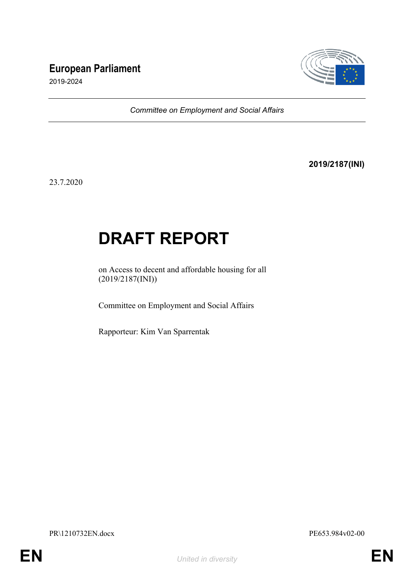# **European Parliament**



2019-2024

*Committee on Employment and Social Affairs*

**2019/2187(INI)**

23.7.2020

# **DRAFT REPORT**

on Access to decent and affordable housing for all (2019/2187(INI))

Committee on Employment and Social Affairs

Rapporteur: Kim Van Sparrentak

PR\1210732EN.docx PE653.984v02-00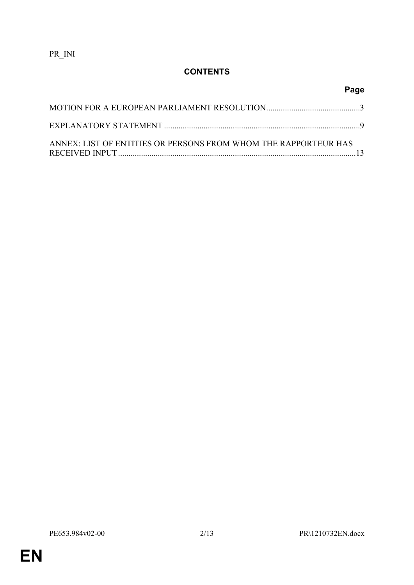PR\_INI

# **CONTENTS**

| ANNEX: LIST OF ENTITIES OR PERSONS FROM WHOM THE RAPPORTEUR HAS |  |
|-----------------------------------------------------------------|--|

**Page**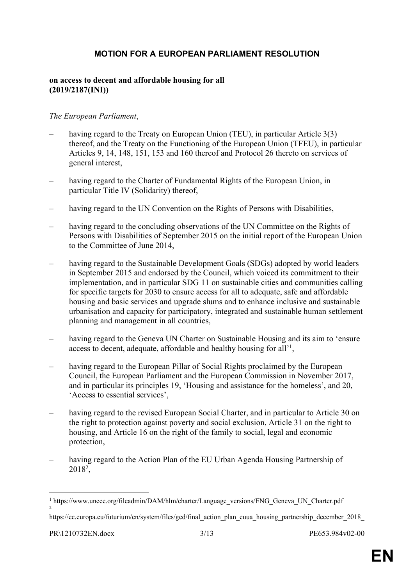### <span id="page-2-0"></span>**MOTION FOR A EUROPEAN PARLIAMENT RESOLUTION**

#### **on access to decent and affordable housing for all (2019/2187(INI))**

#### *The European Parliament*,

- having regard to the Treaty on European Union (TEU), in particular Article 3(3) thereof, and the Treaty on the Functioning of the European Union (TFEU), in particular Articles 9, 14, 148, 151, 153 and 160 thereof and Protocol 26 thereto on services of general interest,
- having regard to the Charter of Fundamental Rights of the European Union, in particular Title IV (Solidarity) thereof,
- having regard to the UN Convention on the Rights of Persons with Disabilities,
- having regard to the concluding observations of the UN Committee on the Rights of Persons with Disabilities of September 2015 on the initial report of the European Union to the Committee of June 2014,
- having regard to the Sustainable Development Goals (SDGs) adopted by world leaders in September 2015 and endorsed by the Council, which voiced its commitment to their implementation, and in particular SDG 11 on sustainable cities and communities calling for specific targets for 2030 to ensure access for all to adequate, safe and affordable housing and basic services and upgrade slums and to enhance inclusive and sustainable urbanisation and capacity for participatory, integrated and sustainable human settlement planning and management in all countries,
- having regard to the Geneva UN Charter on Sustainable Housing and its aim to 'ensure access to decent, adequate, affordable and healthy housing for all'<sup>1</sup>,
- having regard to the European Pillar of Social Rights proclaimed by the European Council, the European Parliament and the European Commission in November 2017, and in particular its principles 19, 'Housing and assistance for the homeless', and 20, 'Access to essential services',
- having regard to the revised European Social Charter, and in particular to Article 30 on the right to protection against poverty and social exclusion, Article 31 on the right to housing, and Article 16 on the right of the family to social, legal and economic protection,
- having regard to the Action Plan of the EU Urban Agenda Housing Partnership of 2018<sup>2</sup> ,

<sup>&</sup>lt;sup>1</sup> https://www.unece.org/fileadmin/DAM/hlm/charter/Language\_versions/ENG\_Geneva\_UN\_Charter.pdf 2

https://ec.europa.eu/futurium/en/system/files/ged/final\_action\_plan\_euua\_housing\_partnership\_december\_2018\_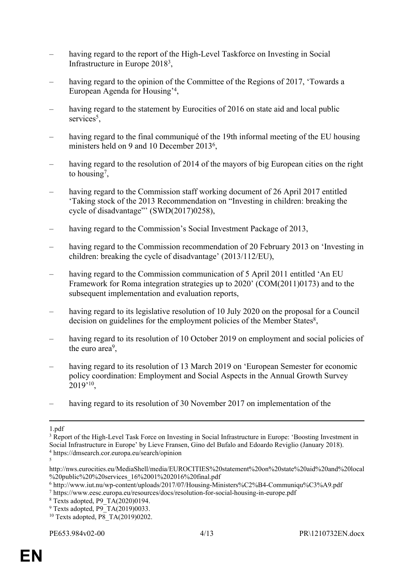- having regard to the report of the High-Level Taskforce on Investing in Social Infrastructure in Europe 2018<sup>3</sup> ,
- having regard to the opinion of the Committee of the Regions of 2017, 'Towards a European Agenda for Housing'<sup>4</sup> ,
- having regard to the statement by Eurocities of 2016 on state aid and local public services<sup>5</sup>,
- having regard to the final communiqué of the 19th informal meeting of the EU housing ministers held on 9 and 10 December 2013<sup>6</sup>,
- having regard to the resolution of 2014 of the mayors of big European cities on the right to housing<sup>7</sup>,
- having regard to the Commission staff working document of 26 April 2017 entitled 'Taking stock of the 2013 Recommendation on "Investing in children: breaking the cycle of disadvantage"' (SWD(2017)0258),
- having regard to the Commission's Social Investment Package of 2013,
- having regard to the Commission recommendation of 20 February 2013 on 'Investing in children: breaking the cycle of disadvantage' (2013/112/EU),
- having regard to the Commission communication of 5 April 2011 entitled 'An EU Framework for Roma integration strategies up to 2020' (COM(2011)0173) and to the subsequent implementation and evaluation reports,
- having regard to its legislative resolution of 10 July 2020 on the proposal for a Council decision on guidelines for the employment policies of the Member States<sup>8</sup>,
- having regard to its resolution of 10 October 2019 on employment and social policies of the euro area<sup>9</sup>,
- having regard to its resolution of 13 March 2019 on 'European Semester for economic policy coordination: Employment and Social Aspects in the Annual Growth Survey 2019'<sup>10</sup> ,
- having regard to its resolution of 30 November 2017 on implementation of the

5

<sup>1.</sup>pdf

<sup>&</sup>lt;sup>3</sup> Report of the High-Level Task Force on Investing in Social Infrastructure in Europe: 'Boosting Investment in Social Infrastructure in Europe' by Lieve Fransen, Gino del Bufalo and Edoardo Reviglio (January 2018). 4 https://dmsearch.cor.europa.eu/search/opinion

http://nws.eurocities.eu/MediaShell/media/EUROCITIES%20statement%20on%20state%20aid%20and%20local %20public%20%20services\_16%2001%202016%20final.pdf

<sup>6</sup> http://www.iut.nu/wp-content/uploads/2017/07/Housing-Ministers%C2%B4-Communiqu%C3%A9.pdf

<sup>7</sup> https://www.eesc.europa.eu/resources/docs/resolution-for-social-housing-in-europe.pdf

<sup>8</sup> Texts adopted, P9\_TA(2020)0194.

<sup>&</sup>lt;sup>9</sup> Texts adopted, P9 TA(2019)0033.

<sup>&</sup>lt;sup>10</sup> Texts adopted, P8 TA(2019)0202.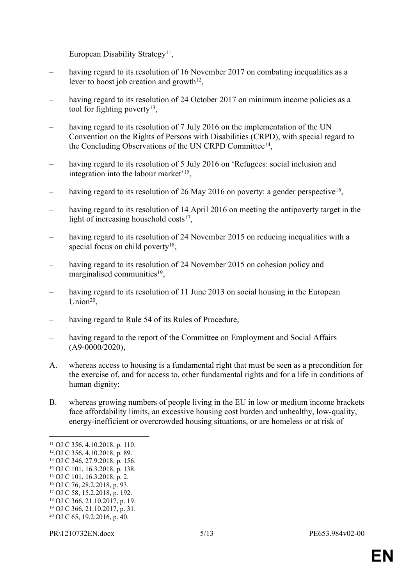European Disability Strategy<sup>11</sup>,

- having regard to its resolution of 16 November 2017 on combating inequalities as a lever to boost job creation and growth $12$ ,
- having regard to its resolution of 24 October 2017 on minimum income policies as a tool for fighting poverty<sup>13</sup>,
- having regard to its resolution of 7 July 2016 on the implementation of the UN Convention on the Rights of Persons with Disabilities (CRPD), with special regard to the Concluding Observations of the UN CRPD Committee<sup>14</sup>,
- having regard to its resolution of 5 July 2016 on 'Refugees: social inclusion and integration into the labour market'<sup>15</sup> ,
- having regard to its resolution of 26 May 2016 on poverty: a gender perspective<sup>16</sup>,
- having regard to its resolution of 14 April 2016 on meeting the antipoverty target in the light of increasing household costs<sup>17</sup>,
- having regard to its resolution of 24 November 2015 on reducing inequalities with a special focus on child poverty<sup>18</sup>,
- having regard to its resolution of 24 November 2015 on cohesion policy and marginalised communities<sup>19</sup>,
- having regard to its resolution of 11 June 2013 on social housing in the European Union<sup>20</sup>,
- having regard to Rule 54 of its Rules of Procedure,
- having regard to the report of the Committee on Employment and Social Affairs (A9-0000/2020),
- A. whereas access to housing is a fundamental right that must be seen as a precondition for the exercise of, and for access to, other fundamental rights and for a life in conditions of human dignity;
- B. whereas growing numbers of people living in the EU in low or medium income brackets face affordability limits, an excessive housing cost burden and unhealthy, low-quality, energy-inefficient or overcrowded housing situations, or are homeless or at risk of

<sup>11</sup> OJ C 356, 4.10.2018, p. 110.

<sup>12</sup>.OJ C 356, 4.10.2018, p. 89.

<sup>13</sup> OJ C 346, 27.9.2018, p. 156.

<sup>14</sup> OJ C 101, 16.3.2018, p. 138.

<sup>15</sup> OJ C 101, 16.3.2018, p. 2.

<sup>16</sup> OJ C 76, 28.2.2018, p. 93.

<sup>17</sup> OJ C 58, 15.2.2018, p. 192.

<sup>18</sup> OJ C 366, 21.10.2017, p. 19.

<sup>19</sup> OJ C 366, 21.10.2017, p. 31. 20 OJ C 65, 19.2.2016, p. 40.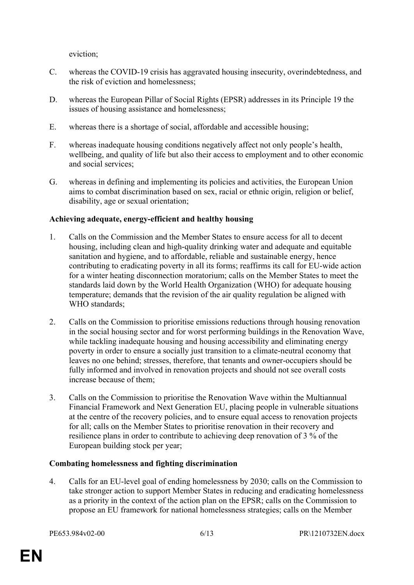eviction;

- C. whereas the COVID-19 crisis has aggravated housing insecurity, overindebtedness, and the risk of eviction and homelessness;
- D. whereas the European Pillar of Social Rights (EPSR) addresses in its Principle 19 the issues of housing assistance and homelessness;
- E. whereas there is a shortage of social, affordable and accessible housing;
- F. whereas inadequate housing conditions negatively affect not only people's health, wellbeing, and quality of life but also their access to employment and to other economic and social services;
- G. whereas in defining and implementing its policies and activities, the European Union aims to combat discrimination based on sex, racial or ethnic origin, religion or belief, disability, age or sexual orientation;

#### **Achieving adequate, energy-efficient and healthy housing**

- 1. Calls on the Commission and the Member States to ensure access for all to decent housing, including clean and high-quality drinking water and adequate and equitable sanitation and hygiene, and to affordable, reliable and sustainable energy, hence contributing to eradicating poverty in all its forms; reaffirms its call for EU-wide action for a winter heating disconnection moratorium; calls on the Member States to meet the standards laid down by the World Health Organization (WHO) for adequate housing temperature; demands that the revision of the air quality regulation be aligned with WHO standards:
- 2. Calls on the Commission to prioritise emissions reductions through housing renovation in the social housing sector and for worst performing buildings in the Renovation Wave, while tackling inadequate housing and housing accessibility and eliminating energy poverty in order to ensure a socially just transition to a climate-neutral economy that leaves no one behind; stresses, therefore, that tenants and owner-occupiers should be fully informed and involved in renovation projects and should not see overall costs increase because of them;
- 3. Calls on the Commission to prioritise the Renovation Wave within the Multiannual Financial Framework and Next Generation EU, placing people in vulnerable situations at the centre of the recovery policies, and to ensure equal access to renovation projects for all; calls on the Member States to prioritise renovation in their recovery and resilience plans in order to contribute to achieving deep renovation of 3 % of the European building stock per year;

#### **Combating homelessness and fighting discrimination**

4. Calls for an EU-level goal of ending homelessness by 2030; calls on the Commission to take stronger action to support Member States in reducing and eradicating homelessness as a priority in the context of the action plan on the EPSR; calls on the Commission to propose an EU framework for national homelessness strategies; calls on the Member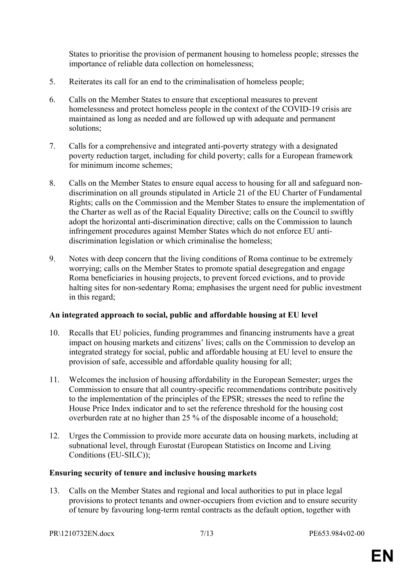States to prioritise the provision of permanent housing to homeless people; stresses the importance of reliable data collection on homelessness;

- 5. Reiterates its call for an end to the criminalisation of homeless people;
- 6. Calls on the Member States to ensure that exceptional measures to prevent homelessness and protect homeless people in the context of the COVID-19 crisis are maintained as long as needed and are followed up with adequate and permanent solutions;
- 7. Calls for a comprehensive and integrated anti-poverty strategy with a designated poverty reduction target, including for child poverty; calls for a European framework for minimum income schemes;
- 8. Calls on the Member States to ensure equal access to housing for all and safeguard nondiscrimination on all grounds stipulated in Article 21 of the EU Charter of Fundamental Rights; calls on the Commission and the Member States to ensure the implementation of the Charter as well as of the Racial Equality Directive; calls on the Council to swiftly adopt the horizontal anti-discrimination directive; calls on the Commission to launch infringement procedures against Member States which do not enforce EU antidiscrimination legislation or which criminalise the homeless;
- 9. Notes with deep concern that the living conditions of Roma continue to be extremely worrying; calls on the Member States to promote spatial desegregation and engage Roma beneficiaries in housing projects, to prevent forced evictions, and to provide halting sites for non-sedentary Roma; emphasises the urgent need for public investment in this regard;

#### **An integrated approach to social, public and affordable housing at EU level**

- 10. Recalls that EU policies, funding programmes and financing instruments have a great impact on housing markets and citizens' lives; calls on the Commission to develop an integrated strategy for social, public and affordable housing at EU level to ensure the provision of safe, accessible and affordable quality housing for all;
- 11. Welcomes the inclusion of housing affordability in the European Semester; urges the Commission to ensure that all country-specific recommendations contribute positively to the implementation of the principles of the EPSR; stresses the need to refine the House Price Index indicator and to set the reference threshold for the housing cost overburden rate at no higher than 25 % of the disposable income of a household;
- 12. Urges the Commission to provide more accurate data on housing markets, including at subnational level, through Eurostat (European Statistics on Income and Living Conditions (EU-SILC));

#### **Ensuring security of tenure and inclusive housing markets**

13. Calls on the Member States and regional and local authorities to put in place legal provisions to protect tenants and owner-occupiers from eviction and to ensure security of tenure by favouring long-term rental contracts as the default option, together with

PR\1210732EN.docx 7/13 PE653.984v02-00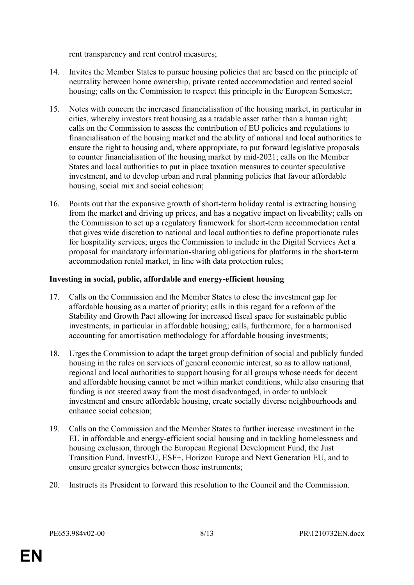rent transparency and rent control measures;

- 14. Invites the Member States to pursue housing policies that are based on the principle of neutrality between home ownership, private rented accommodation and rented social housing; calls on the Commission to respect this principle in the European Semester;
- 15. Notes with concern the increased financialisation of the housing market, in particular in cities, whereby investors treat housing as a tradable asset rather than a human right; calls on the Commission to assess the contribution of EU policies and regulations to financialisation of the housing market and the ability of national and local authorities to ensure the right to housing and, where appropriate, to put forward legislative proposals to counter financialisation of the housing market by mid-2021; calls on the Member States and local authorities to put in place taxation measures to counter speculative investment, and to develop urban and rural planning policies that favour affordable housing, social mix and social cohesion;
- 16. Points out that the expansive growth of short-term holiday rental is extracting housing from the market and driving up prices, and has a negative impact on liveability; calls on the Commission to set up a regulatory framework for short-term accommodation rental that gives wide discretion to national and local authorities to define proportionate rules for hospitality services; urges the Commission to include in the Digital Services Act a proposal for mandatory information-sharing obligations for platforms in the short-term accommodation rental market, in line with data protection rules;

#### **Investing in social, public, affordable and energy-efficient housing**

- 17. Calls on the Commission and the Member States to close the investment gap for affordable housing as a matter of priority; calls in this regard for a reform of the Stability and Growth Pact allowing for increased fiscal space for sustainable public investments, in particular in affordable housing; calls, furthermore, for a harmonised accounting for amortisation methodology for affordable housing investments;
- 18. Urges the Commission to adapt the target group definition of social and publicly funded housing in the rules on services of general economic interest, so as to allow national, regional and local authorities to support housing for all groups whose needs for decent and affordable housing cannot be met within market conditions, while also ensuring that funding is not steered away from the most disadvantaged, in order to unblock investment and ensure affordable housing, create socially diverse neighbourhoods and enhance social cohesion;
- 19. Calls on the Commission and the Member States to further increase investment in the EU in affordable and energy-efficient social housing and in tackling homelessness and housing exclusion, through the European Regional Development Fund, the Just Transition Fund, InvestEU, ESF+, Horizon Europe and Next Generation EU, and to ensure greater synergies between those instruments;
- 20. Instructs its President to forward this resolution to the Council and the Commission.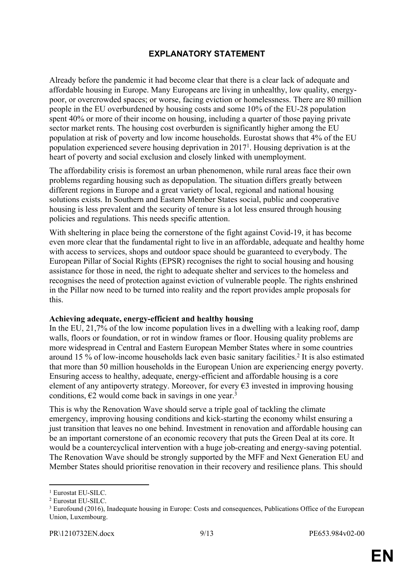## <span id="page-8-0"></span>**EXPLANATORY STATEMENT**

Already before the pandemic it had become clear that there is a clear lack of adequate and affordable housing in Europe. Many Europeans are living in unhealthy, low quality, energypoor, or overcrowded spaces; or worse, facing eviction or homelessness. There are 80 million people in the EU overburdened by housing costs and some 10% of the EU-28 population spent 40% or more of their income on housing, including a quarter of those paying private sector market rents. The housing cost overburden is significantly higher among the EU population at risk of poverty and low income households. Eurostat shows that 4% of the EU population experienced severe housing deprivation in 2017<sup>1</sup> . Housing deprivation is at the heart of poverty and social exclusion and closely linked with unemployment.

The affordability crisis is foremost an urban phenomenon, while rural areas face their own problems regarding housing such as depopulation. The situation differs greatly between different regions in Europe and a great variety of local, regional and national housing solutions exists. In Southern and Eastern Member States social, public and cooperative housing is less prevalent and the security of tenure is a lot less ensured through housing policies and regulations. This needs specific attention.

With sheltering in place being the cornerstone of the fight against Covid-19, it has become even more clear that the fundamental right to live in an affordable, adequate and healthy home with access to services, shops and outdoor space should be guaranteed to everybody. The European Pillar of Social Rights (EPSR) recognises the right to social housing and housing assistance for those in need, the right to adequate shelter and services to the homeless and recognises the need of protection against eviction of vulnerable people. The rights enshrined in the Pillar now need to be turned into reality and the report provides ample proposals for this.

#### **Achieving adequate, energy-efficient and healthy housing**

In the EU, 21,7% of the low income population lives in a dwelling with a leaking roof, damp walls, floors or foundation, or rot in window frames or floor. Housing quality problems are more widespread in Central and Eastern European Member States where in some countries around 15 % of low-income households lack even basic sanitary facilities.<sup>2</sup> It is also estimated that more than 50 million households in the European Union are experiencing energy poverty. Ensuring access to healthy, adequate, energy-efficient and affordable housing is a core element of any antipoverty strategy. Moreover, for every  $\epsilon$ 3 invested in improving housing conditions,  $E2$  would come back in savings in one year.<sup>3</sup>

This is why the Renovation Wave should serve a triple goal of tackling the climate emergency, improving housing conditions and kick-starting the economy whilst ensuring a just transition that leaves no one behind. Investment in renovation and affordable housing can be an important cornerstone of an economic recovery that puts the Green Deal at its core. It would be a countercyclical intervention with a huge job-creating and energy-saving potential. The Renovation Wave should be strongly supported by the MFF and Next Generation EU and Member States should prioritise renovation in their recovery and resilience plans. This should

<sup>1</sup> Eurostat EU-SILC.

<sup>2</sup> Eurostat EU-SILC.

<sup>&</sup>lt;sup>3</sup> Eurofound (2016), Inadequate housing in Europe: Costs and consequences, Publications Office of the European Union, Luxembourg.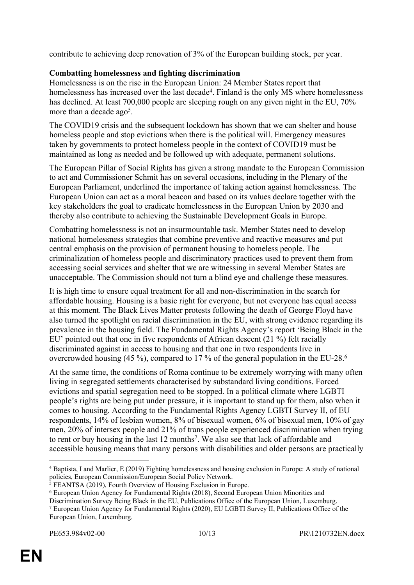contribute to achieving deep renovation of 3% of the European building stock, per year.

#### **Combatting homelessness and fighting discrimination**

Homelessness is on the rise in the European Union: 24 Member States report that homelessness has increased over the last decade<sup>4</sup>. Finland is the only MS where homelessness has declined. At least 700,000 people are sleeping rough on any given night in the EU, 70% more than a decade ago<sup>5</sup>.

The COVID19 crisis and the subsequent lockdown has shown that we can shelter and house homeless people and stop evictions when there is the political will. Emergency measures taken by governments to protect homeless people in the context of COVID19 must be maintained as long as needed and be followed up with adequate, permanent solutions.

The European Pillar of Social Rights has given a strong mandate to the European Commission to act and Commissioner Schmit has on several occasions, including in the Plenary of the European Parliament, underlined the importance of taking action against homelessness. The European Union can act as a moral beacon and based on its values declare together with the key stakeholders the goal to eradicate homelessness in the European Union by 2030 and thereby also contribute to achieving the Sustainable Development Goals in Europe.

Combatting homelessness is not an insurmountable task. Member States need to develop national homelessness strategies that combine preventive and reactive measures and put central emphasis on the provision of permanent housing to homeless people. The criminalization of homeless people and discriminatory practices used to prevent them from accessing social services and shelter that we are witnessing in several Member States are unacceptable. The Commission should not turn a blind eye and challenge these measures.

It is high time to ensure equal treatment for all and non-discrimination in the search for affordable housing. Housing is a basic right for everyone, but not everyone has equal access at this moment. The Black Lives Matter protests following the death of George Floyd have also turned the spotlight on racial discrimination in the EU, with strong evidence regarding its prevalence in the housing field. The Fundamental Rights Agency's report 'Being Black in the EU' pointed out that one in five respondents of African descent (21 %) felt racially discriminated against in access to housing and that one in two respondents live in overcrowded housing (45 %), compared to 17 % of the general population in the EU-28.<sup>6</sup>

At the same time, the conditions of Roma continue to be extremely worrying with many often living in segregated settlements characterised by substandard living conditions. Forced evictions and spatial segregation need to be stopped. In a political climate where LGBTI people's rights are being put under pressure, it is important to stand up for them, also when it comes to housing. According to the Fundamental Rights Agency LGBTI Survey II, of EU respondents, 14% of lesbian women, 8% of bisexual women, 6% of bisexual men, 10% of gay men, 20% of intersex people and 21% of trans people experienced discrimination when trying to rent or buy housing in the last 12 months<sup>7</sup>. We also see that lack of affordable and accessible housing means that many persons with disabilities and older persons are practically

Discrimination Survey Being Black in the EU, Publications Office of the European Union, Luxemburg. <sup>7</sup> European Union Agency for Fundamental Rights (2020), EU LGBTI Survey II, Publications Office of the European Union, Luxemburg.

<sup>4</sup> Baptista, I and Marlier, E (2019) Fighting homelessness and housing exclusion in Europe: A study of national policies, European Commission/European Social Policy Network.

<sup>5</sup> FEANTSA (2019), Fourth Overview of Housing Exclusion in Europe.

<sup>6</sup> European Union Agency for Fundamental Rights (2018), Second European Union Minorities and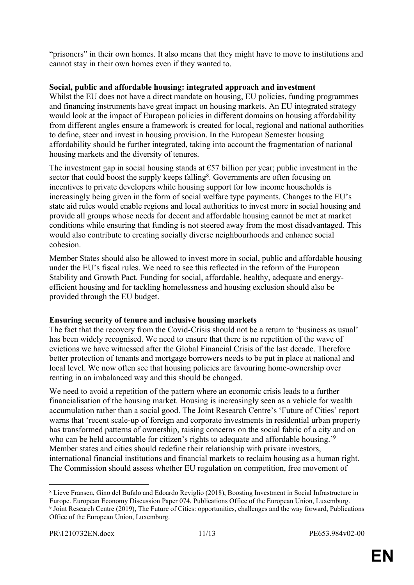"prisoners" in their own homes. It also means that they might have to move to institutions and cannot stay in their own homes even if they wanted to.

#### **Social, public and affordable housing: integrated approach and investment**

Whilst the EU does not have a direct mandate on housing, EU policies, funding programmes and financing instruments have great impact on housing markets. An EU integrated strategy would look at the impact of European policies in different domains on housing affordability from different angles ensure a framework is created for local, regional and national authorities to define, steer and invest in housing provision. In the European Semester housing affordability should be further integrated, taking into account the fragmentation of national housing markets and the diversity of tenures.

The investment gap in social housing stands at  $\epsilon$ 57 billion per year; public investment in the sector that could boost the supply keeps falling<sup>8</sup>. Governments are often focusing on incentives to private developers while housing support for low income households is increasingly being given in the form of social welfare type payments. Changes to the EU's state aid rules would enable regions and local authorities to invest more in social housing and provide all groups whose needs for decent and affordable housing cannot be met at market conditions while ensuring that funding is not steered away from the most disadvantaged. This would also contribute to creating socially diverse neighbourhoods and enhance social cohesion.

Member States should also be allowed to invest more in social, public and affordable housing under the EU's fiscal rules. We need to see this reflected in the reform of the European Stability and Growth Pact. Funding for social, affordable, healthy, adequate and energyefficient housing and for tackling homelessness and housing exclusion should also be provided through the EU budget.

#### **Ensuring security of tenure and inclusive housing markets**

The fact that the recovery from the Covid-Crisis should not be a return to 'business as usual' has been widely recognised. We need to ensure that there is no repetition of the wave of evictions we have witnessed after the Global Financial Crisis of the last decade. Therefore better protection of tenants and mortgage borrowers needs to be put in place at national and local level. We now often see that housing policies are favouring home-ownership over renting in an imbalanced way and this should be changed.

We need to avoid a repetition of the pattern where an economic crisis leads to a further financialisation of the housing market. Housing is increasingly seen as a vehicle for wealth accumulation rather than a social good. The Joint Research Centre's 'Future of Cities' report warns that 'recent scale-up of foreign and corporate investments in residential urban property has transformed patterns of ownership, raising concerns on the social fabric of a city and on who can be held accountable for citizen's rights to adequate and affordable housing.<sup>'9</sup> Member states and cities should redefine their relationship with private investors, international financial institutions and financial markets to reclaim housing as a human right. The Commission should assess whether EU regulation on competition, free movement of

<sup>8</sup> Lieve Fransen, Gino del Bufalo and Edoardo Reviglio (2018), Boosting Investment in Social Infrastructure in Europe. European Economy Discussion Paper 074, Publications Office of the European Union, Luxemburg. 9 Joint Research Centre (2019), The Future of Cities: opportunities, challenges and the way forward, Publications Office of the European Union, Luxemburg.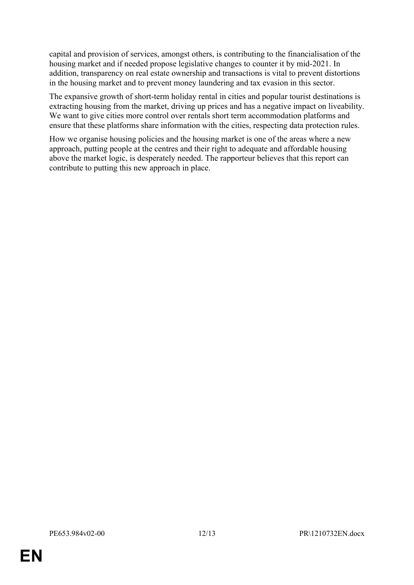capital and provision of services, amongst others, is contributing to the financialisation of the housing market and if needed propose legislative changes to counter it by mid-2021. In addition, transparency on real estate ownership and transactions is vital to prevent distortions in the housing market and to prevent money laundering and tax evasion in this sector.

The expansive growth of short-term holiday rental in cities and popular tourist destinations is extracting housing from the market, driving up prices and has a negative impact on liveability. We want to give cities more control over rentals short term accommodation platforms and ensure that these platforms share information with the cities, respecting data protection rules.

How we organise housing policies and the housing market is one of the areas where a new approach, putting people at the centres and their right to adequate and affordable housing above the market logic, is desperately needed. The rapporteur believes that this report can contribute to putting this new approach in place.